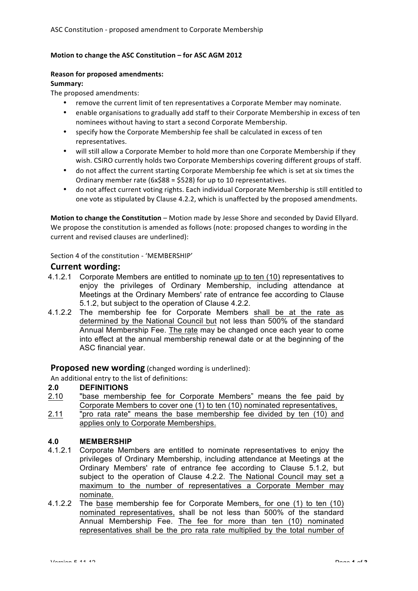### **Motion to change the ASC Constitution – for ASC AGM 2012**

#### **Reason for proposed amendments:**

#### **Summary:**

The proposed amendments:

- remove the current limit of ten representatives a Corporate Member may nominate.
- enable organisations to gradually add staff to their Corporate Membership in excess of ten nominees without having to start a second Corporate Membership.
- specify how the Corporate Membership fee shall be calculated in excess of ten representatives.
- will still allow a Corporate Member to hold more than one Corporate Membership if they wish. CSIRO currently holds two Corporate Memberships covering different groups of staff.
- do not affect the current starting Corporate Membership fee which is set at six times the Ordinary member rate  $(6x$88 = $528)$  for up to 10 representatives.
- do not affect current voting rights. Each individual Corporate Membership is still entitled to one vote as stipulated by Clause 4.2.2, which is unaffected by the proposed amendments.

**Motion to change the Constitution** – Motion made by Jesse Shore and seconded by David Ellyard. We propose the constitution is amended as follows (note: proposed changes to wording in the current and revised clauses are underlined):

Section 4 of the constitution - 'MEMBERSHIP'

## **Current wording:**

- 4.1.2.1 Corporate Members are entitled to nominate up to ten (10) representatives to enjoy the privileges of Ordinary Membership, including attendance at Meetings at the Ordinary Members' rate of entrance fee according to Clause 5.1.2, but subject to the operation of Clause 4.2.2.
- 4.1.2.2 The membership fee for Corporate Members shall be at the rate as determined by the National Council but not less than 500% of the standard Annual Membership Fee. The rate may be changed once each year to come into effect at the annual membership renewal date or at the beginning of the ASC financial year.

# **Proposed new wording** (changed wording is underlined):

An additional entry to the list of definitions:

# **2.0 DEFINITIONS**

- 2.10 "base membership fee for Corporate Members" means the fee paid by Corporate Members to cover one (1) to ten (10) nominated representatives,
- 2.11 "pro rata rate" means the base membership fee divided by ten (10) and applies only to Corporate Memberships.

## **4.0 MEMBERSHIP**

- 4.1.2.1 Corporate Members are entitled to nominate representatives to enjoy the privileges of Ordinary Membership, including attendance at Meetings at the Ordinary Members' rate of entrance fee according to Clause 5.1.2, but subject to the operation of Clause 4.2.2. The National Council may set a maximum to the number of representatives a Corporate Member may nominate.
- 4.1.2.2 The base membership fee for Corporate Members, for one (1) to ten (10) nominated representatives, shall be not less than 500% of the standard Annual Membership Fee. The fee for more than ten (10) nominated representatives shall be the pro rata rate multiplied by the total number of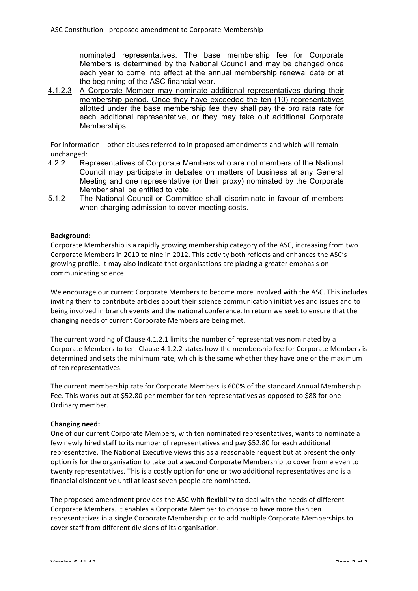nominated representatives. The base membership fee for Corporate Members is determined by the National Council and may be changed once each year to come into effect at the annual membership renewal date or at the beginning of the ASC financial year.

4.1.2.3 A Corporate Member may nominate additional representatives during their membership period. Once they have exceeded the ten (10) representatives allotted under the base membership fee they shall pay the pro rata rate for each additional representative, or they may take out additional Corporate Memberships.

For information – other clauses referred to in proposed amendments and which will remain unchanged:

- 4.2.2 Representatives of Corporate Members who are not members of the National Council may participate in debates on matters of business at any General Meeting and one representative (or their proxy) nominated by the Corporate Member shall be entitled to vote.
- 5.1.2 The National Council or Committee shall discriminate in favour of members when charging admission to cover meeting costs.

## **Background:**

Corporate Membership is a rapidly growing membership category of the ASC, increasing from two Corporate Members in 2010 to nine in 2012. This activity both reflects and enhances the ASC's growing profile. It may also indicate that organisations are placing a greater emphasis on communicating science.

We encourage our current Corporate Members to become more involved with the ASC. This includes inviting them to contribute articles about their science communication initiatives and issues and to being involved in branch events and the national conference. In return we seek to ensure that the changing needs of current Corporate Members are being met.

The current wording of Clause 4.1.2.1 limits the number of representatives nominated by a Corporate Members to ten. Clause 4.1.2.2 states how the membership fee for Corporate Members is determined and sets the minimum rate, which is the same whether they have one or the maximum of ten representatives.

The current membership rate for Corporate Members is 600% of the standard Annual Membership Fee. This works out at \$52.80 per member for ten representatives as opposed to \$88 for one Ordinary member.

## **Changing need:**

One of our current Corporate Members, with ten nominated representatives, wants to nominate a few newly hired staff to its number of representatives and pay \$52.80 for each additional representative. The National Executive views this as a reasonable request but at present the only option is for the organisation to take out a second Corporate Membership to cover from eleven to twenty representatives. This is a costly option for one or two additional representatives and is a financial disincentive until at least seven people are nominated.

The proposed amendment provides the ASC with flexibility to deal with the needs of different Corporate Members. It enables a Corporate Member to choose to have more than ten representatives in a single Corporate Membership or to add multiple Corporate Memberships to cover staff from different divisions of its organisation.